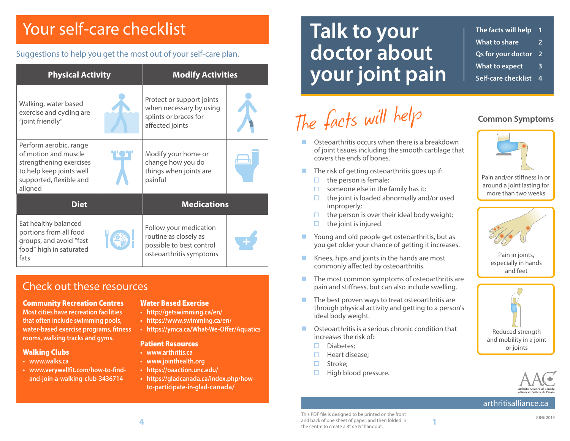## Your self-care checklist

#### Suggestions to help you get the most out of your self-care plan.

| <b>Physical Activity</b>                                                                                                                    |  | <b>Modify Activities</b>                                                                               |  |
|---------------------------------------------------------------------------------------------------------------------------------------------|--|--------------------------------------------------------------------------------------------------------|--|
| Walking, water based<br>exercise and cycling are<br>"joint friendly"                                                                        |  | Protect or support joints<br>when necessary by using<br>splints or braces for<br>affected joints       |  |
| Perform aerobic, range<br>of motion and muscle<br>strengthening exercises<br>to help keep joints well<br>supported, flexible and<br>aligned |  | Modify your home or<br>change how you do<br>things when joints are<br>painful                          |  |
| <b>Diet</b>                                                                                                                                 |  | <b>Medications</b>                                                                                     |  |
| Eat healthy balanced<br>portions from all food<br>groups, and avoid "fast<br>food" high in saturated<br>fats                                |  | Follow your medication<br>routine as closely as<br>possible to best control<br>osteoarthritis symptoms |  |

#### Check out these resources

#### Community Recreation Centres

**Most cities have recreation facilities that often include swimming pools, water-based exercise programs, fitness rooms, walking tracks and gyms.**

#### Walking Clubs

- **• www.walks.ca**
- **• www.verywellfit.com/how-to-findand-join-a-walking-club-3436714**

#### Water Based Exercise

- **http://getswimming.ca/en/**
- **https://www.swimming.ca/en/**
- **• https://ymca.ca/What-We-Offer/Aquatics**

#### Patient Resources

- **• www.arthritis.ca**
- **• www.jointhealth.org**
- **• https://oaaction.unc.edu/**
- **• https://gladcanada.ca/index.php/howto-participate-in-glad-canada/**

## **Talk to your doctor about your joint pain**

#### **The facts will help 1 What to share 2**

- **Qs for your doctor 2**
- **What to expect 3 Self-care checklist 4**

## *The facts will help*

- **Constructive Construction** Construction Construction Construction Construction Construction Construction Construction Construction Construction Construction Construction Construction Construction Construction Construction of joint tissues including the smooth cartilage that covers the ends of bones.
- $\blacksquare$  The risk of getting osteoarthritis goes up if:
	- $\Box$  the person is female;
	- $\Box$ someone else in the family has it;
	- $\Box$  the joint is loaded abnormally and/or used improperly;
	- $\Box$  the person is over their ideal body weight;
	- the joint is injured.  $\Box$
- **Noung and old people get osteoarthritis, but as** you get older your chance of getting it increases.
- Knees, hips and joints in the hands are most commonly affected by osteoarthritis.
- $\blacksquare$  The most common symptoms of osteoarthritis are pain and stiffness, but can also include swelling.
- $\blacksquare$  The best proven ways to treat osteoarthritis are through physical activity and getting to a person's ideal body weight.
- **Constructed Contact Condition Condition that** increases the risk of:
	- Diabetes;  $\Box$
	- $\Box$ Heart disease;
	- Stroke;  $\Box$
	- $\Box$ High blood pressure.



**Common Symptoms**

Pain and/or stiffness in or around a joint lasting for more than two weeks



Pain in joints, especially in hands and feet





#### arthritisalliance.ca